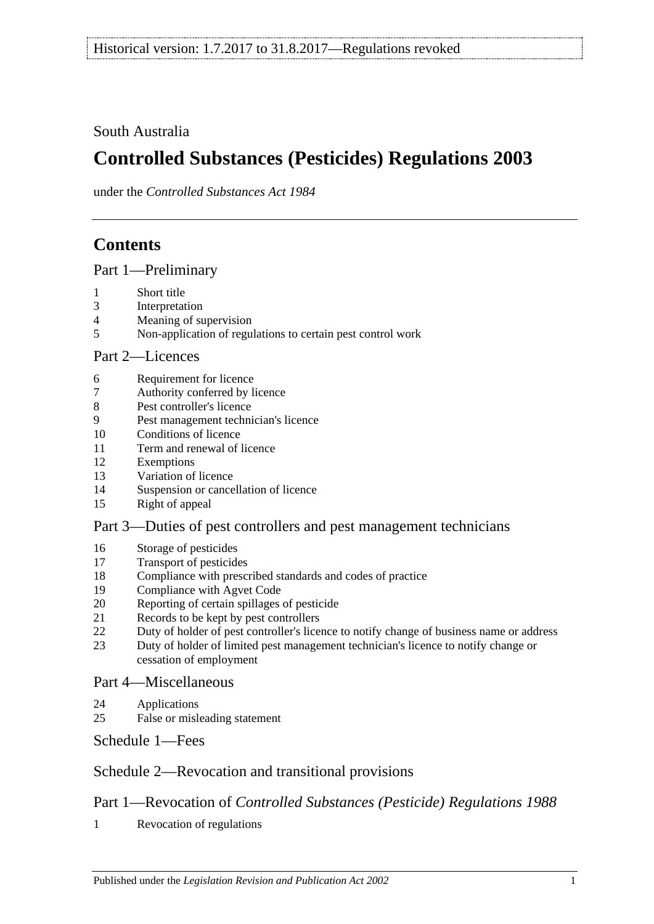# South Australia

# **Controlled Substances (Pesticides) Regulations 2003**

under the *Controlled Substances Act 1984*

# **Contents**

[Part 1—Preliminary](#page-1-0)

- [Short title](#page-1-1)
- [Interpretation](#page-1-2)
- [Meaning of supervision](#page-2-0)
- [Non-application of regulations to certain pest control work](#page-2-1)

## [Part 2—Licences](#page-3-0)

- [Requirement for licence](#page-3-1)
- [Authority conferred by licence](#page-3-2)
- [Pest controller's licence](#page-4-0)
- [Pest management technician's licence](#page-4-1)
- [Conditions of licence](#page-6-0)
- [Term and renewal of licence](#page-6-1)
- [Exemptions](#page-6-2)
- [Variation of licence](#page-7-0)
- [Suspension or cancellation of licence](#page-7-1)
- [Right of appeal](#page-8-0)

# [Part 3—Duties of pest controllers and pest management technicians](#page-8-1)

- [Storage of pesticides](#page-8-2)
- [Transport of pesticides](#page-9-0)
- [Compliance with prescribed standards and codes of practice](#page-9-1)
- [Compliance with Agvet Code](#page-10-0)
- [Reporting of certain spillages of pesticide](#page-11-0)
- [Records to be kept by pest controllers](#page-11-1)
- [Duty of holder of pest controller's licence to notify change of business name or address](#page-12-0)<br>23 Duty of holder of limited nest management technician's licence to notify change or
- [Duty of holder of limited pest management technician's licence to notify change or](#page-13-0)  [cessation of employment](#page-13-0)

## [Part 4—Miscellaneous](#page-13-1)

- [Applications](#page-13-2)
- [False or misleading statement](#page-13-3)

[Schedule](#page-13-4) 1—Fees

# [Schedule 2—Revocation and transitional provisions](#page-14-0)

# Part 1—Revocation of *Controlled Substances (Pesticide) Regulations 1988*

[Revocation of regulations](#page-14-1)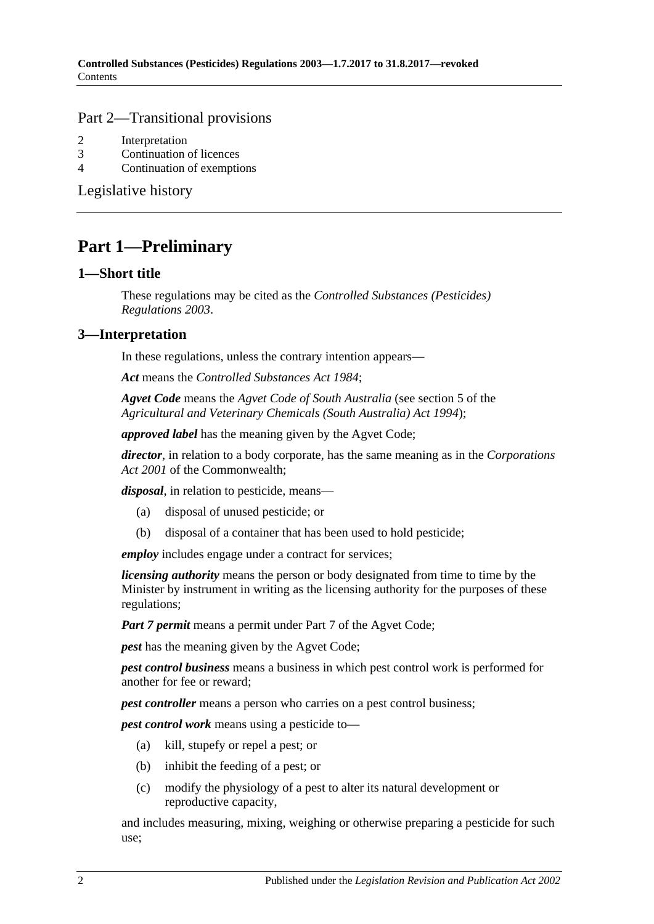## Part 2—Transitional provisions

- 2 [Interpretation](#page-14-2)
- 3 [Continuation of licences](#page-14-3)
- 4 [Continuation of exemptions](#page-14-4)

[Legislative history](#page-15-0)

# <span id="page-1-0"></span>**Part 1—Preliminary**

#### <span id="page-1-1"></span>**1—Short title**

These regulations may be cited as the *Controlled Substances (Pesticides) Regulations 2003*.

## <span id="page-1-2"></span>**3—Interpretation**

In these regulations, unless the contrary intention appears—

*Act* means the *[Controlled Substances Act](http://www.legislation.sa.gov.au/index.aspx?action=legref&type=act&legtitle=Controlled%20Substances%20Act%201984) 1984*;

*Agvet Code* means the *Agvet Code of South Australia* (see section 5 of the *[Agricultural and Veterinary Chemicals \(South Australia\) Act](http://www.legislation.sa.gov.au/index.aspx?action=legref&type=act&legtitle=Agricultural%20and%20Veterinary%20Chemicals%20(South%20Australia)%20Act%201994) 1994*);

*approved label* has the meaning given by the Agvet Code;

*director*, in relation to a body corporate, has the same meaning as in the *Corporations Act 2001* of the Commonwealth;

*disposal*, in relation to pesticide, means—

- (a) disposal of unused pesticide; or
- (b) disposal of a container that has been used to hold pesticide;

*employ* includes engage under a contract for services;

*licensing authority* means the person or body designated from time to time by the Minister by instrument in writing as the licensing authority for the purposes of these regulations;

*Part 7 permit* means a permit under Part 7 of the Agvet Code;

*pest* has the meaning given by the Agvet Code;

*pest control business* means a business in which pest control work is performed for another for fee or reward;

*pest controller* means a person who carries on a pest control business;

*pest control work* means using a pesticide to—

- (a) kill, stupefy or repel a pest; or
- (b) inhibit the feeding of a pest; or
- (c) modify the physiology of a pest to alter its natural development or reproductive capacity,

and includes measuring, mixing, weighing or otherwise preparing a pesticide for such use;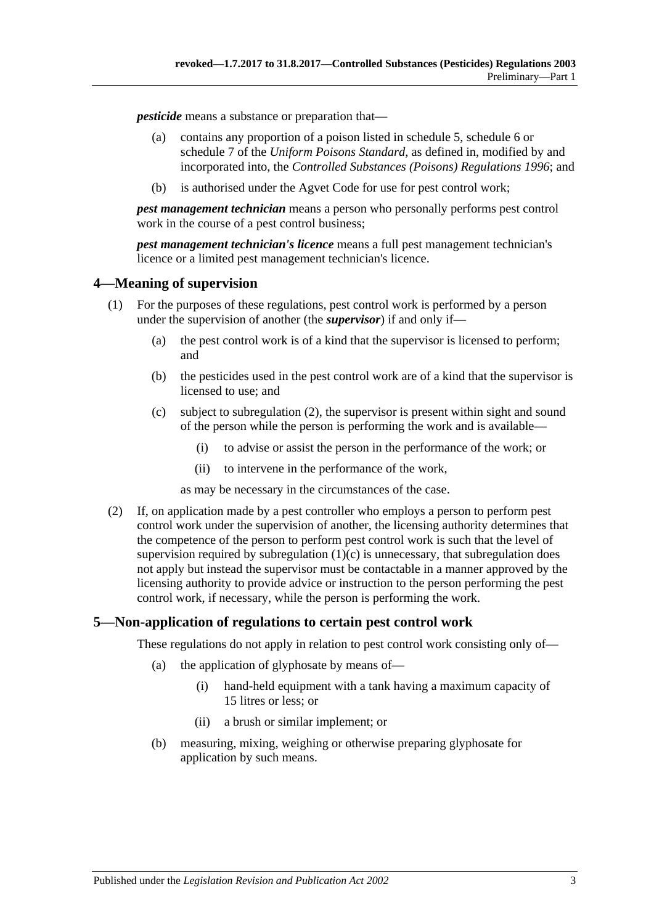*pesticide* means a substance or preparation that—

- (a) contains any proportion of a poison listed in schedule 5, schedule 6 or schedule 7 of the *Uniform Poisons Standard*, as defined in, modified by and incorporated into, the *[Controlled Substances \(Poisons\) Regulations](http://www.legislation.sa.gov.au/index.aspx?action=legref&type=subordleg&legtitle=Controlled%20Substances%20(Poisons)%20Regulations%201996) 1996*; and
- (b) is authorised under the Agvet Code for use for pest control work;

*pest management technician* means a person who personally performs pest control work in the course of a pest control business;

*pest management technician's licence* means a full pest management technician's licence or a limited pest management technician's licence.

## <span id="page-2-0"></span>**4—Meaning of supervision**

- <span id="page-2-3"></span>(1) For the purposes of these regulations, pest control work is performed by a person under the supervision of another (the *supervisor*) if and only if—
	- (a) the pest control work is of a kind that the supervisor is licensed to perform; and
	- (b) the pesticides used in the pest control work are of a kind that the supervisor is licensed to use; and
	- (c) subject to [subregulation](#page-2-2) (2), the supervisor is present within sight and sound of the person while the person is performing the work and is available—
		- (i) to advise or assist the person in the performance of the work; or
		- (ii) to intervene in the performance of the work,

as may be necessary in the circumstances of the case.

<span id="page-2-2"></span>(2) If, on application made by a pest controller who employs a person to perform pest control work under the supervision of another, the licensing authority determines that the competence of the person to perform pest control work is such that the level of supervision required by [subregulation](#page-2-3)  $(1)(c)$  is unnecessary, that subregulation does not apply but instead the supervisor must be contactable in a manner approved by the licensing authority to provide advice or instruction to the person performing the pest control work, if necessary, while the person is performing the work.

## <span id="page-2-1"></span>**5—Non-application of regulations to certain pest control work**

These regulations do not apply in relation to pest control work consisting only of—

- (a) the application of glyphosate by means of—
	- (i) hand-held equipment with a tank having a maximum capacity of 15 litres or less; or
	- (ii) a brush or similar implement; or
- (b) measuring, mixing, weighing or otherwise preparing glyphosate for application by such means.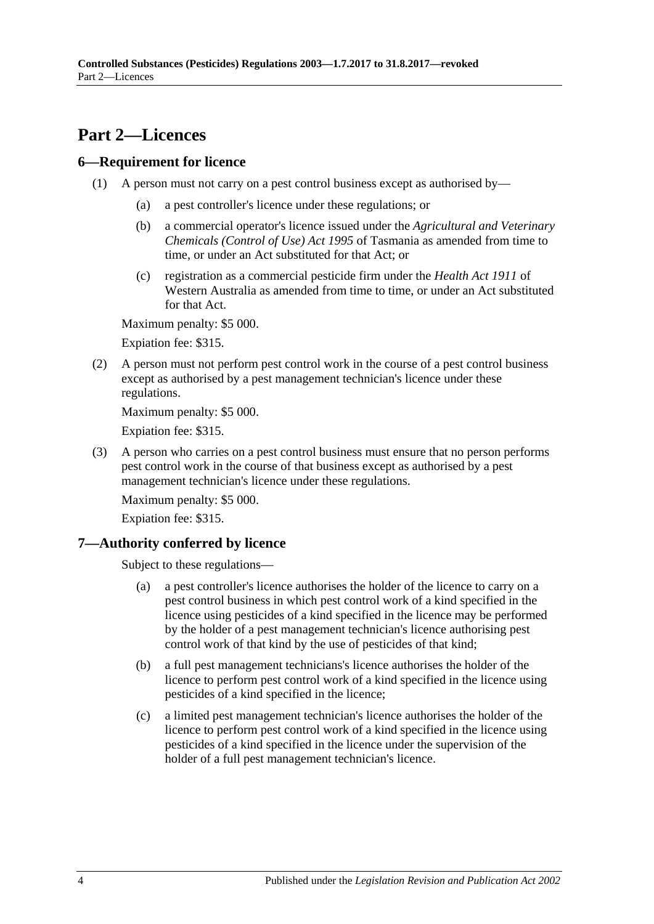# <span id="page-3-0"></span>**Part 2—Licences**

## <span id="page-3-1"></span>**6—Requirement for licence**

- (1) A person must not carry on a pest control business except as authorised by—
	- (a) a pest controller's licence under these regulations; or
	- (b) a commercial operator's licence issued under the *Agricultural and Veterinary Chemicals (Control of Use) Act 1995* of Tasmania as amended from time to time, or under an Act substituted for that Act; or
	- (c) registration as a commercial pesticide firm under the *Health Act 1911* of Western Australia as amended from time to time, or under an Act substituted for that Act.

Maximum penalty: \$5 000.

Expiation fee: \$315.

(2) A person must not perform pest control work in the course of a pest control business except as authorised by a pest management technician's licence under these regulations.

Maximum penalty: \$5 000.

Expiation fee: \$315.

(3) A person who carries on a pest control business must ensure that no person performs pest control work in the course of that business except as authorised by a pest management technician's licence under these regulations.

Maximum penalty: \$5 000.

Expiation fee: \$315.

## <span id="page-3-2"></span>**7—Authority conferred by licence**

Subject to these regulations—

- (a) a pest controller's licence authorises the holder of the licence to carry on a pest control business in which pest control work of a kind specified in the licence using pesticides of a kind specified in the licence may be performed by the holder of a pest management technician's licence authorising pest control work of that kind by the use of pesticides of that kind;
- (b) a full pest management technicians's licence authorises the holder of the licence to perform pest control work of a kind specified in the licence using pesticides of a kind specified in the licence;
- (c) a limited pest management technician's licence authorises the holder of the licence to perform pest control work of a kind specified in the licence using pesticides of a kind specified in the licence under the supervision of the holder of a full pest management technician's licence.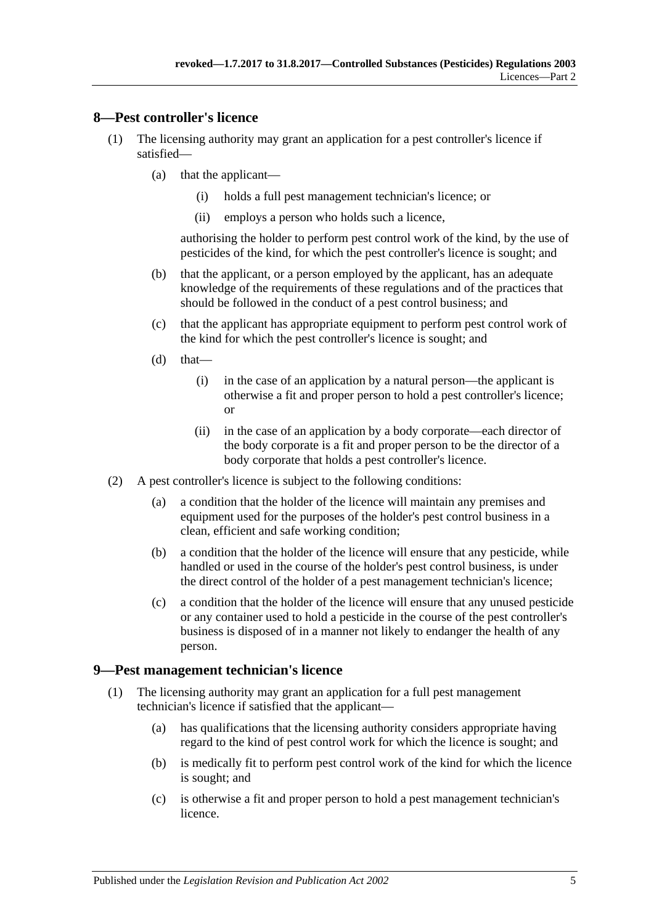## <span id="page-4-0"></span>**8—Pest controller's licence**

- (1) The licensing authority may grant an application for a pest controller's licence if satisfied—
	- (a) that the applicant—
		- (i) holds a full pest management technician's licence; or
		- (ii) employs a person who holds such a licence,

authorising the holder to perform pest control work of the kind, by the use of pesticides of the kind, for which the pest controller's licence is sought; and

- (b) that the applicant, or a person employed by the applicant, has an adequate knowledge of the requirements of these regulations and of the practices that should be followed in the conduct of a pest control business; and
- (c) that the applicant has appropriate equipment to perform pest control work of the kind for which the pest controller's licence is sought; and
- $(d)$  that—
	- (i) in the case of an application by a natural person—the applicant is otherwise a fit and proper person to hold a pest controller's licence; or
	- (ii) in the case of an application by a body corporate—each director of the body corporate is a fit and proper person to be the director of a body corporate that holds a pest controller's licence.
- (2) A pest controller's licence is subject to the following conditions:
	- (a) a condition that the holder of the licence will maintain any premises and equipment used for the purposes of the holder's pest control business in a clean, efficient and safe working condition;
	- (b) a condition that the holder of the licence will ensure that any pesticide, while handled or used in the course of the holder's pest control business, is under the direct control of the holder of a pest management technician's licence;
	- (c) a condition that the holder of the licence will ensure that any unused pesticide or any container used to hold a pesticide in the course of the pest controller's business is disposed of in a manner not likely to endanger the health of any person.

## <span id="page-4-1"></span>**9—Pest management technician's licence**

- (1) The licensing authority may grant an application for a full pest management technician's licence if satisfied that the applicant—
	- (a) has qualifications that the licensing authority considers appropriate having regard to the kind of pest control work for which the licence is sought; and
	- (b) is medically fit to perform pest control work of the kind for which the licence is sought; and
	- (c) is otherwise a fit and proper person to hold a pest management technician's licence.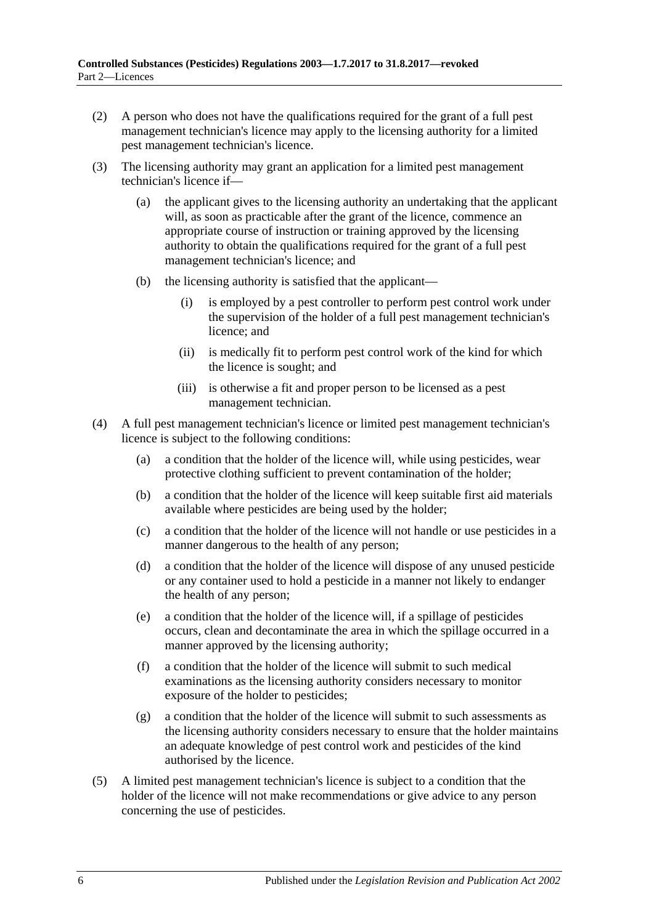- (2) A person who does not have the qualifications required for the grant of a full pest management technician's licence may apply to the licensing authority for a limited pest management technician's licence.
- (3) The licensing authority may grant an application for a limited pest management technician's licence if—
	- (a) the applicant gives to the licensing authority an undertaking that the applicant will, as soon as practicable after the grant of the licence, commence an appropriate course of instruction or training approved by the licensing authority to obtain the qualifications required for the grant of a full pest management technician's licence; and
	- (b) the licensing authority is satisfied that the applicant—
		- (i) is employed by a pest controller to perform pest control work under the supervision of the holder of a full pest management technician's licence; and
		- (ii) is medically fit to perform pest control work of the kind for which the licence is sought; and
		- (iii) is otherwise a fit and proper person to be licensed as a pest management technician.
- (4) A full pest management technician's licence or limited pest management technician's licence is subject to the following conditions:
	- (a) a condition that the holder of the licence will, while using pesticides, wear protective clothing sufficient to prevent contamination of the holder;
	- (b) a condition that the holder of the licence will keep suitable first aid materials available where pesticides are being used by the holder;
	- (c) a condition that the holder of the licence will not handle or use pesticides in a manner dangerous to the health of any person;
	- (d) a condition that the holder of the licence will dispose of any unused pesticide or any container used to hold a pesticide in a manner not likely to endanger the health of any person;
	- (e) a condition that the holder of the licence will, if a spillage of pesticides occurs, clean and decontaminate the area in which the spillage occurred in a manner approved by the licensing authority;
	- (f) a condition that the holder of the licence will submit to such medical examinations as the licensing authority considers necessary to monitor exposure of the holder to pesticides;
	- (g) a condition that the holder of the licence will submit to such assessments as the licensing authority considers necessary to ensure that the holder maintains an adequate knowledge of pest control work and pesticides of the kind authorised by the licence.
- (5) A limited pest management technician's licence is subject to a condition that the holder of the licence will not make recommendations or give advice to any person concerning the use of pesticides.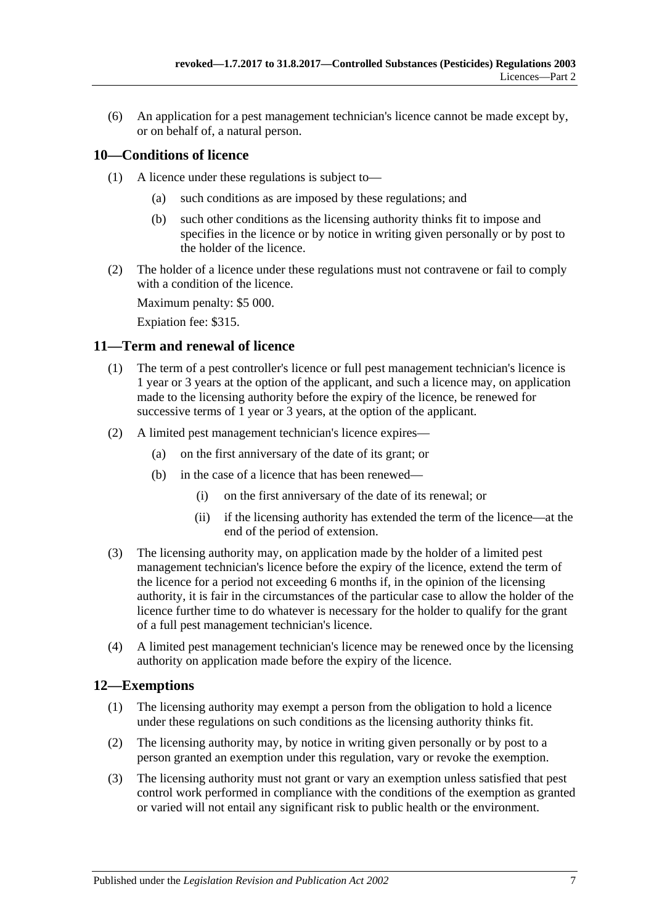(6) An application for a pest management technician's licence cannot be made except by, or on behalf of, a natural person.

## <span id="page-6-0"></span>**10—Conditions of licence**

- (1) A licence under these regulations is subject to—
	- (a) such conditions as are imposed by these regulations; and
	- (b) such other conditions as the licensing authority thinks fit to impose and specifies in the licence or by notice in writing given personally or by post to the holder of the licence.
- (2) The holder of a licence under these regulations must not contravene or fail to comply with a condition of the licence.

Maximum penalty: \$5 000.

Expiation fee: \$315.

## <span id="page-6-1"></span>**11—Term and renewal of licence**

- (1) The term of a pest controller's licence or full pest management technician's licence is 1 year or 3 years at the option of the applicant, and such a licence may, on application made to the licensing authority before the expiry of the licence, be renewed for successive terms of 1 year or 3 years, at the option of the applicant.
- (2) A limited pest management technician's licence expires—
	- (a) on the first anniversary of the date of its grant; or
	- (b) in the case of a licence that has been renewed—
		- (i) on the first anniversary of the date of its renewal; or
		- (ii) if the licensing authority has extended the term of the licence—at the end of the period of extension.
- (3) The licensing authority may, on application made by the holder of a limited pest management technician's licence before the expiry of the licence, extend the term of the licence for a period not exceeding 6 months if, in the opinion of the licensing authority, it is fair in the circumstances of the particular case to allow the holder of the licence further time to do whatever is necessary for the holder to qualify for the grant of a full pest management technician's licence.
- (4) A limited pest management technician's licence may be renewed once by the licensing authority on application made before the expiry of the licence.

## <span id="page-6-2"></span>**12—Exemptions**

- (1) The licensing authority may exempt a person from the obligation to hold a licence under these regulations on such conditions as the licensing authority thinks fit.
- (2) The licensing authority may, by notice in writing given personally or by post to a person granted an exemption under this regulation, vary or revoke the exemption.
- (3) The licensing authority must not grant or vary an exemption unless satisfied that pest control work performed in compliance with the conditions of the exemption as granted or varied will not entail any significant risk to public health or the environment.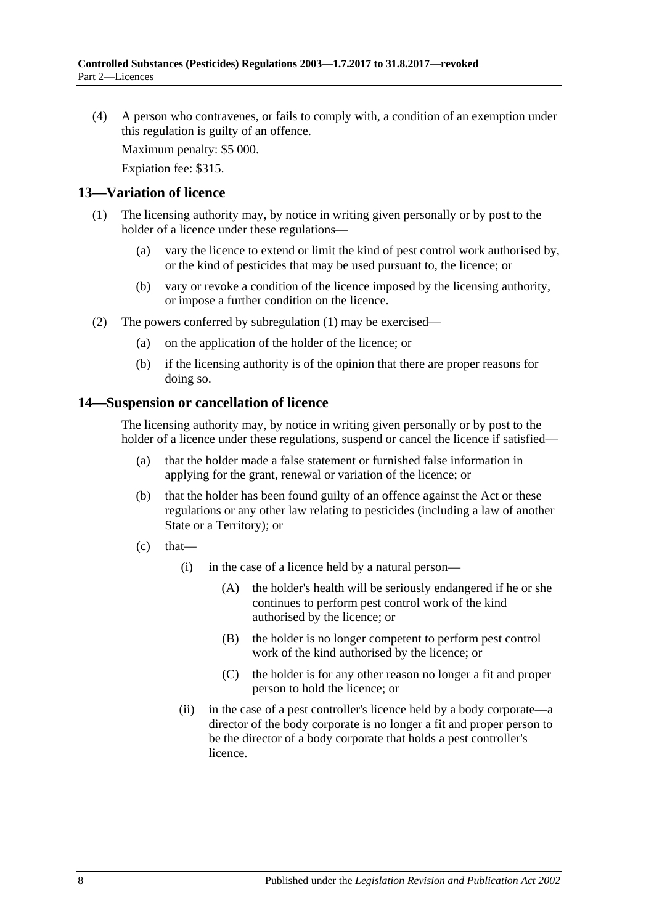(4) A person who contravenes, or fails to comply with, a condition of an exemption under this regulation is guilty of an offence.

Maximum penalty: \$5 000.

Expiation fee: \$315.

#### <span id="page-7-2"></span><span id="page-7-0"></span>**13—Variation of licence**

- (1) The licensing authority may, by notice in writing given personally or by post to the holder of a licence under these regulations—
	- (a) vary the licence to extend or limit the kind of pest control work authorised by, or the kind of pesticides that may be used pursuant to, the licence; or
	- (b) vary or revoke a condition of the licence imposed by the licensing authority, or impose a further condition on the licence.
- (2) The powers conferred by [subregulation](#page-7-2) (1) may be exercised—
	- (a) on the application of the holder of the licence; or
	- (b) if the licensing authority is of the opinion that there are proper reasons for doing so.

#### <span id="page-7-1"></span>**14—Suspension or cancellation of licence**

The licensing authority may, by notice in writing given personally or by post to the holder of a licence under these regulations, suspend or cancel the licence if satisfied—

- (a) that the holder made a false statement or furnished false information in applying for the grant, renewal or variation of the licence; or
- (b) that the holder has been found guilty of an offence against the Act or these regulations or any other law relating to pesticides (including a law of another State or a Territory); or
- $(c)$  that—
	- (i) in the case of a licence held by a natural person—
		- (A) the holder's health will be seriously endangered if he or she continues to perform pest control work of the kind authorised by the licence; or
		- (B) the holder is no longer competent to perform pest control work of the kind authorised by the licence; or
		- (C) the holder is for any other reason no longer a fit and proper person to hold the licence; or
	- (ii) in the case of a pest controller's licence held by a body corporate—a director of the body corporate is no longer a fit and proper person to be the director of a body corporate that holds a pest controller's licence.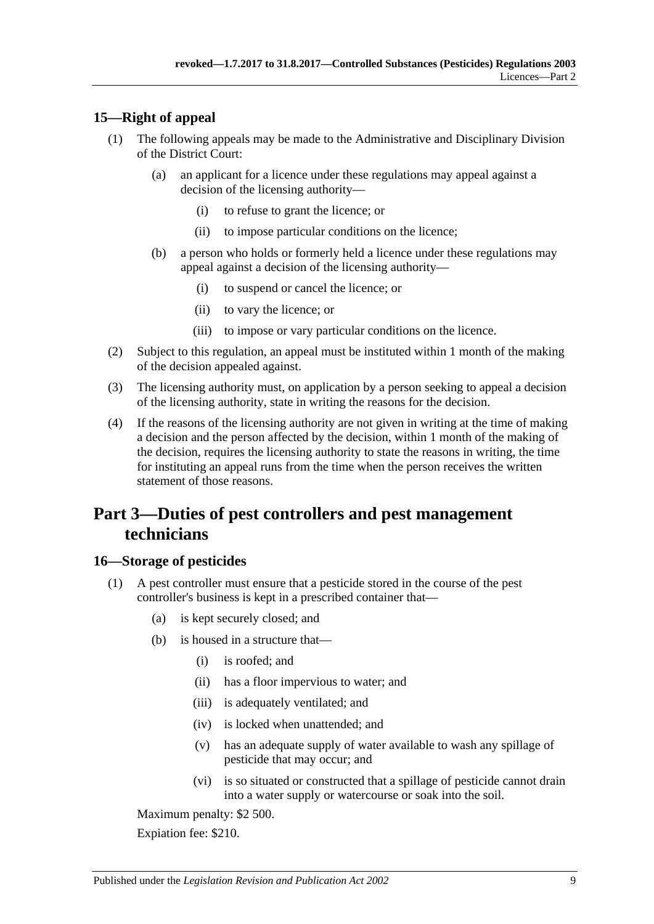# <span id="page-8-0"></span>**15—Right of appeal**

- (1) The following appeals may be made to the Administrative and Disciplinary Division of the District Court:
	- (a) an applicant for a licence under these regulations may appeal against a decision of the licensing authority—
		- (i) to refuse to grant the licence; or
		- (ii) to impose particular conditions on the licence;
	- (b) a person who holds or formerly held a licence under these regulations may appeal against a decision of the licensing authority—
		- (i) to suspend or cancel the licence; or
		- (ii) to vary the licence; or
		- (iii) to impose or vary particular conditions on the licence.
- (2) Subject to this regulation, an appeal must be instituted within 1 month of the making of the decision appealed against.
- (3) The licensing authority must, on application by a person seeking to appeal a decision of the licensing authority, state in writing the reasons for the decision.
- (4) If the reasons of the licensing authority are not given in writing at the time of making a decision and the person affected by the decision, within 1 month of the making of the decision, requires the licensing authority to state the reasons in writing, the time for instituting an appeal runs from the time when the person receives the written statement of those reasons.

# <span id="page-8-1"></span>**Part 3—Duties of pest controllers and pest management technicians**

## <span id="page-8-2"></span>**16—Storage of pesticides**

- <span id="page-8-3"></span>(1) A pest controller must ensure that a pesticide stored in the course of the pest controller's business is kept in a prescribed container that—
	- (a) is kept securely closed; and
	- (b) is housed in a structure that—
		- (i) is roofed; and
		- (ii) has a floor impervious to water; and
		- (iii) is adequately ventilated; and
		- (iv) is locked when unattended; and
		- (v) has an adequate supply of water available to wash any spillage of pesticide that may occur; and
		- (vi) is so situated or constructed that a spillage of pesticide cannot drain into a water supply or watercourse or soak into the soil.

Maximum penalty: \$2 500.

Expiation fee: \$210.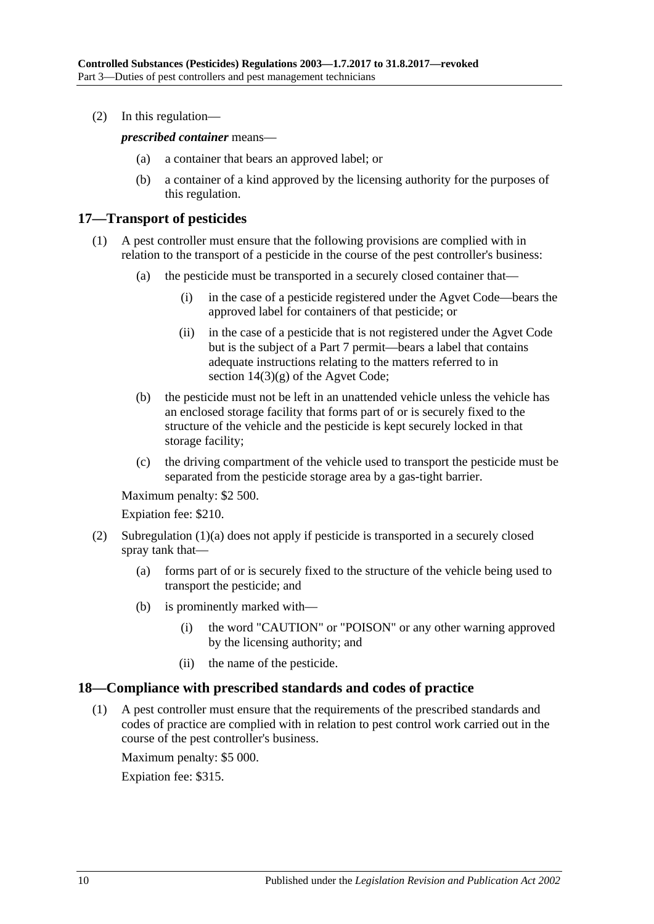(2) In this regulation—

*prescribed container* means—

- (a) a container that bears an approved label; or
- (b) a container of a kind approved by the licensing authority for the purposes of this regulation.

## <span id="page-9-0"></span>**17—Transport of pesticides**

- (1) A pest controller must ensure that the following provisions are complied with in relation to the transport of a pesticide in the course of the pest controller's business:
	- (a) the pesticide must be transported in a securely closed container that—
		- (i) in the case of a pesticide registered under the Agvet Code—bears the approved label for containers of that pesticide; or
		- (ii) in the case of a pesticide that is not registered under the Agvet Code but is the subject of a Part 7 permit—bears a label that contains adequate instructions relating to the matters referred to in section  $14(3)(g)$  of the Agvet Code;
	- (b) the pesticide must not be left in an unattended vehicle unless the vehicle has an enclosed storage facility that forms part of or is securely fixed to the structure of the vehicle and the pesticide is kept securely locked in that storage facility;
	- (c) the driving compartment of the vehicle used to transport the pesticide must be separated from the pesticide storage area by a gas-tight barrier.

Maximum penalty: \$2 500.

Expiation fee: \$210.

- (2) [Subregulation](#page-8-3) (1)(a) does not apply if pesticide is transported in a securely closed spray tank that—
	- (a) forms part of or is securely fixed to the structure of the vehicle being used to transport the pesticide; and
	- (b) is prominently marked with—
		- (i) the word "CAUTION" or "POISON" or any other warning approved by the licensing authority; and
		- (ii) the name of the pesticide.

#### <span id="page-9-1"></span>**18—Compliance with prescribed standards and codes of practice**

(1) A pest controller must ensure that the requirements of the prescribed standards and codes of practice are complied with in relation to pest control work carried out in the course of the pest controller's business.

Maximum penalty: \$5 000.

Expiation fee: \$315.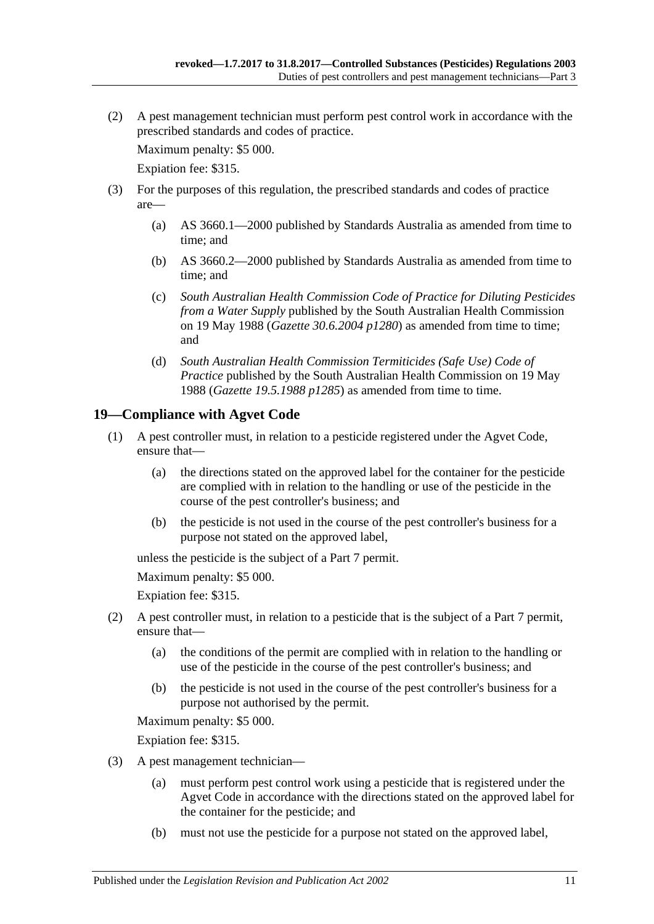(2) A pest management technician must perform pest control work in accordance with the prescribed standards and codes of practice.

Maximum penalty: \$5 000.

Expiation fee: \$315.

- (3) For the purposes of this regulation, the prescribed standards and codes of practice are—
	- (a) AS 3660.1—2000 published by Standards Australia as amended from time to time; and
	- (b) AS 3660.2—2000 published by Standards Australia as amended from time to time; and
	- (c) *South Australian Health Commission Code of Practice for Diluting Pesticides from a Water Supply* published by the South Australian Health Commission on 19 May 1988 (*Gazette 30.6.2004 p1280*) as amended from time to time; and
	- (d) *South Australian Health Commission Termiticides (Safe Use) Code of Practice* published by the South Australian Health Commission on 19 May 1988 (*Gazette 19.5.1988 p1285*) as amended from time to time.

# <span id="page-10-0"></span>**19—Compliance with Agvet Code**

- (1) A pest controller must, in relation to a pesticide registered under the Agvet Code, ensure that—
	- (a) the directions stated on the approved label for the container for the pesticide are complied with in relation to the handling or use of the pesticide in the course of the pest controller's business; and
	- (b) the pesticide is not used in the course of the pest controller's business for a purpose not stated on the approved label,

unless the pesticide is the subject of a Part 7 permit.

Maximum penalty: \$5 000.

Expiation fee: \$315.

- (2) A pest controller must, in relation to a pesticide that is the subject of a Part 7 permit, ensure that—
	- (a) the conditions of the permit are complied with in relation to the handling or use of the pesticide in the course of the pest controller's business; and
	- (b) the pesticide is not used in the course of the pest controller's business for a purpose not authorised by the permit.

Maximum penalty: \$5 000.

Expiation fee: \$315.

- (3) A pest management technician—
	- (a) must perform pest control work using a pesticide that is registered under the Agvet Code in accordance with the directions stated on the approved label for the container for the pesticide; and
	- (b) must not use the pesticide for a purpose not stated on the approved label,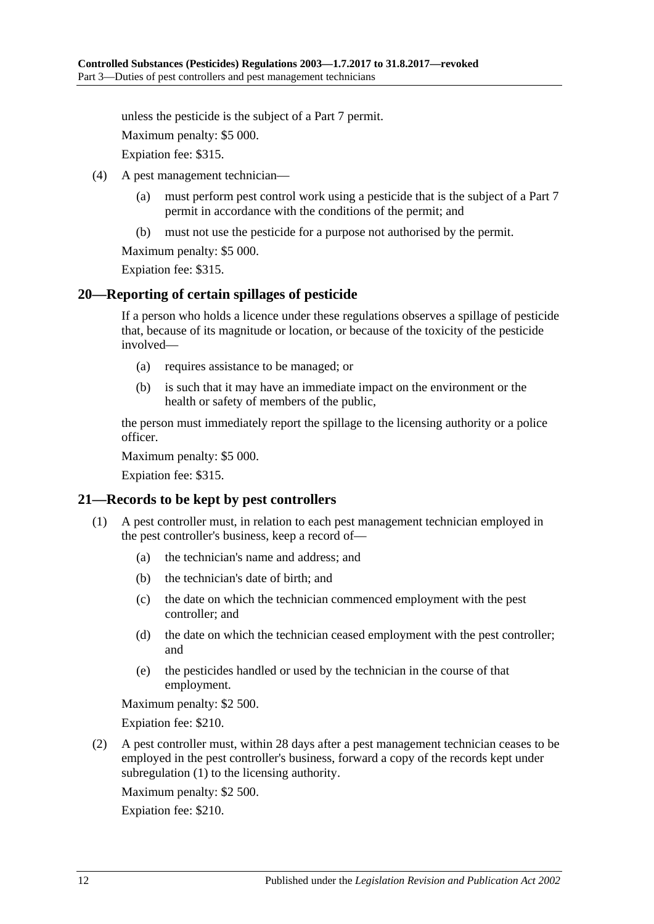unless the pesticide is the subject of a Part 7 permit.

Maximum penalty: \$5 000.

Expiation fee: \$315.

- (4) A pest management technician—
	- (a) must perform pest control work using a pesticide that is the subject of a Part 7 permit in accordance with the conditions of the permit; and
	- (b) must not use the pesticide for a purpose not authorised by the permit.

Maximum penalty: \$5 000.

Expiation fee: \$315.

#### <span id="page-11-0"></span>**20—Reporting of certain spillages of pesticide**

If a person who holds a licence under these regulations observes a spillage of pesticide that, because of its magnitude or location, or because of the toxicity of the pesticide involved—

- (a) requires assistance to be managed; or
- (b) is such that it may have an immediate impact on the environment or the health or safety of members of the public,

the person must immediately report the spillage to the licensing authority or a police officer.

Maximum penalty: \$5 000.

Expiation fee: \$315.

## <span id="page-11-2"></span><span id="page-11-1"></span>**21—Records to be kept by pest controllers**

- (1) A pest controller must, in relation to each pest management technician employed in the pest controller's business, keep a record of—
	- (a) the technician's name and address; and
	- (b) the technician's date of birth; and
	- (c) the date on which the technician commenced employment with the pest controller; and
	- (d) the date on which the technician ceased employment with the pest controller; and
	- (e) the pesticides handled or used by the technician in the course of that employment.

Maximum penalty: \$2 500.

Expiation fee: \$210.

(2) A pest controller must, within 28 days after a pest management technician ceases to be employed in the pest controller's business, forward a copy of the records kept under [subregulation](#page-11-2) (1) to the licensing authority.

Maximum penalty: \$2 500.

Expiation fee: \$210.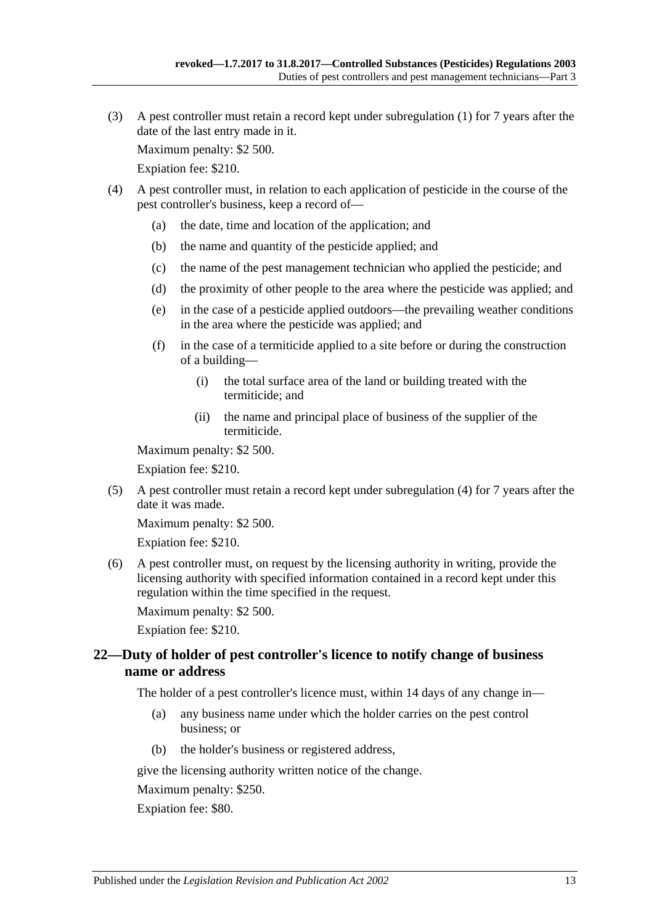(3) A pest controller must retain a record kept under [subregulation](#page-11-2) (1) for 7 years after the date of the last entry made in it.

Maximum penalty: \$2 500.

Expiation fee: \$210.

- <span id="page-12-1"></span>(4) A pest controller must, in relation to each application of pesticide in the course of the pest controller's business, keep a record of—
	- (a) the date, time and location of the application; and
	- (b) the name and quantity of the pesticide applied; and
	- (c) the name of the pest management technician who applied the pesticide; and
	- (d) the proximity of other people to the area where the pesticide was applied; and
	- (e) in the case of a pesticide applied outdoors—the prevailing weather conditions in the area where the pesticide was applied; and
	- (f) in the case of a termiticide applied to a site before or during the construction of a building—
		- (i) the total surface area of the land or building treated with the termiticide; and
		- (ii) the name and principal place of business of the supplier of the termiticide.

Maximum penalty: \$2 500.

Expiation fee: \$210.

(5) A pest controller must retain a record kept under [subregulation](#page-12-1) (4) for 7 years after the date it was made.

Maximum penalty: \$2 500.

Expiation fee: \$210.

(6) A pest controller must, on request by the licensing authority in writing, provide the licensing authority with specified information contained in a record kept under this regulation within the time specified in the request.

Maximum penalty: \$2 500.

Expiation fee: \$210.

## <span id="page-12-0"></span>**22—Duty of holder of pest controller's licence to notify change of business name or address**

The holder of a pest controller's licence must, within 14 days of any change in—

- (a) any business name under which the holder carries on the pest control business; or
- (b) the holder's business or registered address,

give the licensing authority written notice of the change.

Maximum penalty: \$250.

Expiation fee: \$80.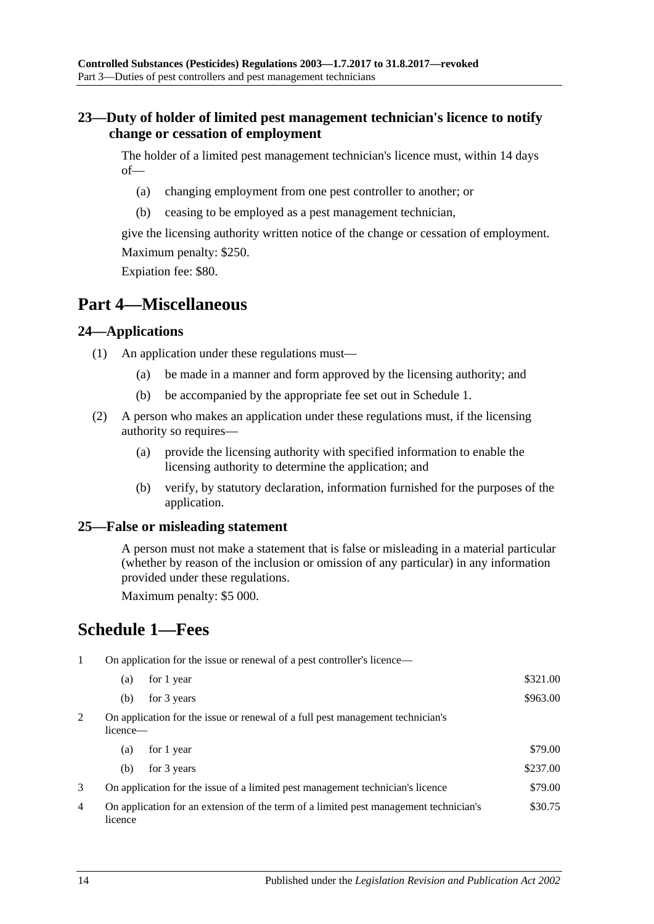## <span id="page-13-0"></span>**23—Duty of holder of limited pest management technician's licence to notify change or cessation of employment**

The holder of a limited pest management technician's licence must, within 14 days of—

- (a) changing employment from one pest controller to another; or
- (b) ceasing to be employed as a pest management technician,

give the licensing authority written notice of the change or cessation of employment. Maximum penalty: \$250.

Expiation fee: \$80.

# <span id="page-13-1"></span>**Part 4—Miscellaneous**

## <span id="page-13-2"></span>**24—Applications**

- (1) An application under these regulations must—
	- (a) be made in a manner and form approved by the licensing authority; and
	- (b) be accompanied by the appropriate fee set out in Schedule 1.
- (2) A person who makes an application under these regulations must, if the licensing authority so requires—
	- (a) provide the licensing authority with specified information to enable the licensing authority to determine the application; and
	- (b) verify, by statutory declaration, information furnished for the purposes of the application.

## <span id="page-13-3"></span>**25—False or misleading statement**

A person must not make a statement that is false or misleading in a material particular (whether by reason of the inclusion or omission of any particular) in any information provided under these regulations.

Maximum penalty: \$5 000.

# <span id="page-13-4"></span>**Schedule 1—Fees**

1 On application for the issue or renewal of a pest controller's licence—

|   | (a)                                                                                        | for 1 year                                                                            | \$321.00 |
|---|--------------------------------------------------------------------------------------------|---------------------------------------------------------------------------------------|----------|
|   | (b)                                                                                        | for 3 years                                                                           | \$963.00 |
| 2 | On application for the issue or renewal of a full pest management technician's<br>licence— |                                                                                       |          |
|   | (a)                                                                                        | for 1 year                                                                            | \$79.00  |
|   | (b)                                                                                        | for 3 years                                                                           | \$237.00 |
| 3 |                                                                                            | On application for the issue of a limited pest management technician's licence        | \$79.00  |
| 4 | licence                                                                                    | On application for an extension of the term of a limited pest management technician's | \$30.75  |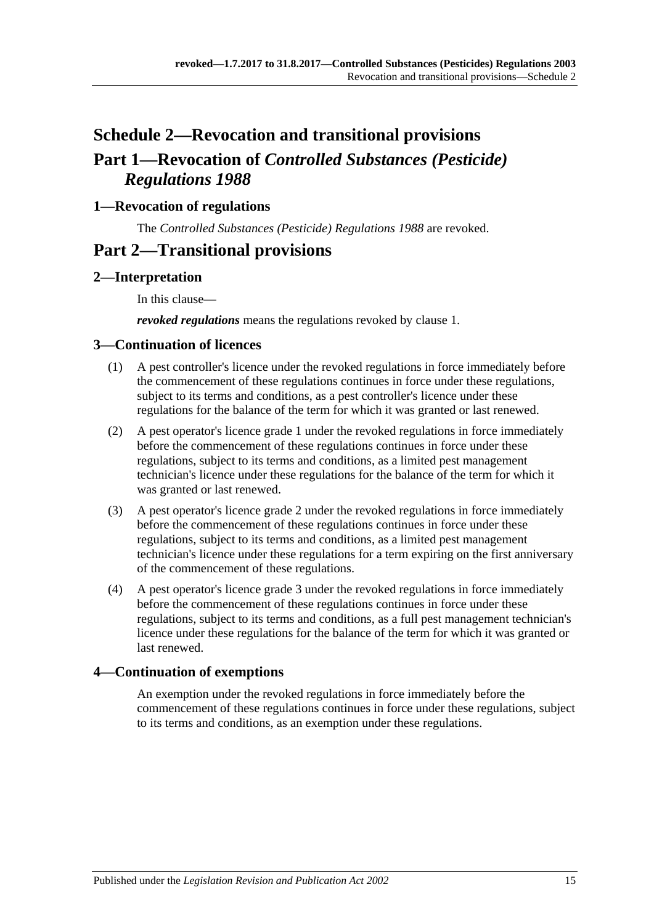# <span id="page-14-0"></span>**Schedule 2—Revocation and transitional provisions Part 1—Revocation of** *Controlled Substances (Pesticide) Regulations 1988*

# <span id="page-14-1"></span>**1—Revocation of regulations**

The *[Controlled Substances \(Pesticide\) Regulations 1988](http://www.legislation.sa.gov.au/index.aspx?action=legref&type=subordleg&legtitle=Controlled%20Substances%20(Pesticide)%20Regulations%201988)* are revoked.

# **Part 2—Transitional provisions**

# <span id="page-14-2"></span>**2—Interpretation**

In this clause—

*revoked regulations* means the regulations revoked by [clause](#page-14-1) 1.

## <span id="page-14-3"></span>**3—Continuation of licences**

- (1) A pest controller's licence under the revoked regulations in force immediately before the commencement of these regulations continues in force under these regulations, subject to its terms and conditions, as a pest controller's licence under these regulations for the balance of the term for which it was granted or last renewed.
- (2) A pest operator's licence grade 1 under the revoked regulations in force immediately before the commencement of these regulations continues in force under these regulations, subject to its terms and conditions, as a limited pest management technician's licence under these regulations for the balance of the term for which it was granted or last renewed.
- (3) A pest operator's licence grade 2 under the revoked regulations in force immediately before the commencement of these regulations continues in force under these regulations, subject to its terms and conditions, as a limited pest management technician's licence under these regulations for a term expiring on the first anniversary of the commencement of these regulations.
- (4) A pest operator's licence grade 3 under the revoked regulations in force immediately before the commencement of these regulations continues in force under these regulations, subject to its terms and conditions, as a full pest management technician's licence under these regulations for the balance of the term for which it was granted or last renewed.

# <span id="page-14-4"></span>**4—Continuation of exemptions**

An exemption under the revoked regulations in force immediately before the commencement of these regulations continues in force under these regulations, subject to its terms and conditions, as an exemption under these regulations.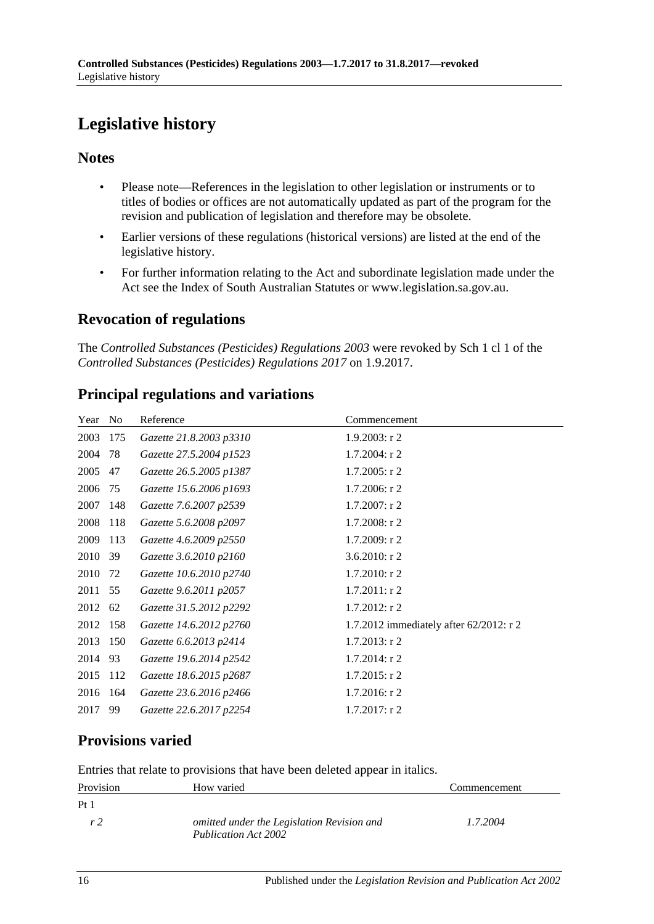# <span id="page-15-0"></span>**Legislative history**

# **Notes**

- Please note—References in the legislation to other legislation or instruments or to titles of bodies or offices are not automatically updated as part of the program for the revision and publication of legislation and therefore may be obsolete.
- Earlier versions of these regulations (historical versions) are listed at the end of the legislative history.
- For further information relating to the Act and subordinate legislation made under the Act see the Index of South Australian Statutes or www.legislation.sa.gov.au.

# **Revocation of regulations**

The *Controlled Substances (Pesticides) Regulations 2003* were revoked by Sch 1 cl 1 of the *Controlled Substances (Pesticides) Regulations 2017* on 1.9.2017.

|  |  | <b>Principal regulations and variations</b> |
|--|--|---------------------------------------------|
|  |  |                                             |

| Year | N <sub>0</sub> | Reference               | Commencement                            |
|------|----------------|-------------------------|-----------------------------------------|
| 2003 | 175            | Gazette 21.8.2003 p3310 | $1.9.2003$ : r 2                        |
| 2004 | 78             | Gazette 27.5.2004 p1523 | $1.7.2004$ : r 2                        |
| 2005 | 47             | Gazette 26.5.2005 p1387 | $1.7.2005$ : r 2                        |
| 2006 | 75             | Gazette 15.6.2006 p1693 | $1.7.2006$ : r 2                        |
| 2007 | 148            | Gazette 7.6.2007 p2539  | $1.7.2007:$ r 2                         |
| 2008 | 118            | Gazette 5.6.2008 p2097  | $1.7.2008:$ r 2                         |
| 2009 | 113            | Gazette 4.6.2009 p2550  | 1.7.2009: r2                            |
| 2010 | 39             | Gazette 3.6.2010 p2160  | 3.6.2010: $r$ 2                         |
| 2010 | 72             | Gazette 10.6.2010 p2740 | $1.7.2010$ : r 2                        |
| 2011 | 55             | Gazette 9.6.2011 p2057  | $1.7.2011:$ r 2                         |
| 2012 | 62             | Gazette 31.5.2012 p2292 | $1.7.2012$ : r 2                        |
| 2012 | 158            | Gazette 14.6.2012 p2760 | 1.7.2012 immediately after 62/2012: r 2 |
| 2013 | 150            | Gazette 6.6.2013 p2414  | $1.7.2013$ : r 2                        |
| 2014 | 93             | Gazette 19.6.2014 p2542 | $1.7.2014$ : r 2                        |
| 2015 | 112            | Gazette 18.6.2015 p2687 | $1.7.2015$ : r 2                        |
| 2016 | 164            | Gazette 23.6.2016 p2466 | $1.7.2016$ : r 2                        |
| 2017 | 99             | Gazette 22.6.2017 p2254 | $1.7.2017$ : r 2                        |

# **Provisions varied**

Entries that relate to provisions that have been deleted appear in italics.

| Provision       | How varied                                                         | Commencement |
|-----------------|--------------------------------------------------------------------|--------------|
| Pt <sub>1</sub> |                                                                    |              |
| r <sub>2</sub>  | omitted under the Legislation Revision and<br>Publication Act 2002 | 1.7.2004     |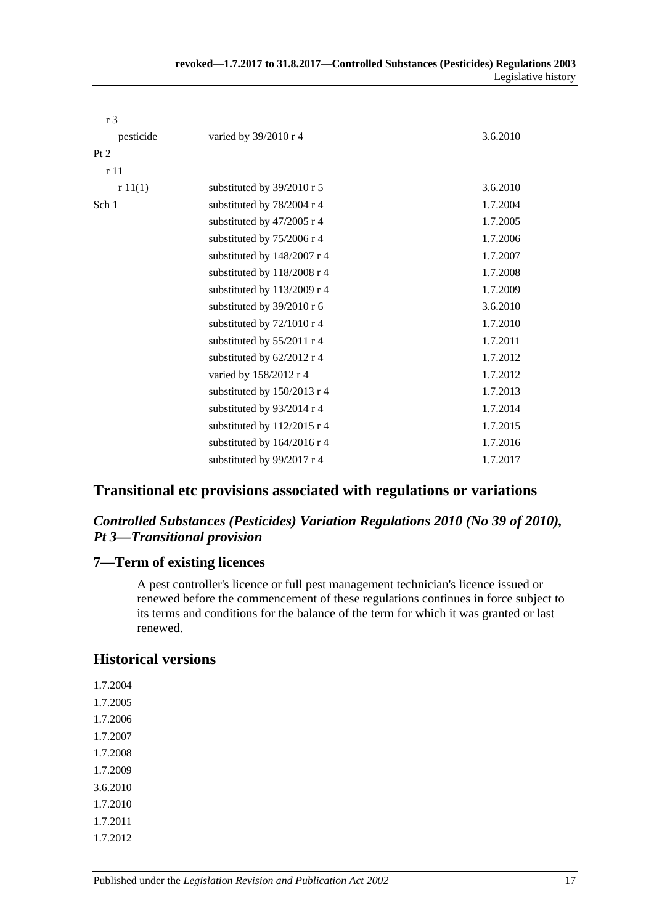| r <sub>3</sub>  |                             |          |
|-----------------|-----------------------------|----------|
| pesticide       | varied by 39/2010 r 4       | 3.6.2010 |
| Pt 2            |                             |          |
| r <sub>11</sub> |                             |          |
| r11(1)          | substituted by 39/2010 r 5  | 3.6.2010 |
| Sch 1           | substituted by 78/2004 r 4  | 1.7.2004 |
|                 | substituted by 47/2005 r 4  | 1.7.2005 |
|                 | substituted by 75/2006 r 4  | 1.7.2006 |
|                 | substituted by 148/2007 r 4 | 1.7.2007 |
|                 | substituted by 118/2008 r 4 | 1.7.2008 |
|                 | substituted by 113/2009 r 4 | 1.7.2009 |
|                 | substituted by 39/2010 r 6  | 3.6.2010 |
|                 | substituted by 72/1010 r 4  | 1.7.2010 |
|                 | substituted by 55/2011 r 4  | 1.7.2011 |
|                 | substituted by 62/2012 r 4  | 1.7.2012 |
|                 | varied by 158/2012 r 4      | 1.7.2012 |
|                 | substituted by 150/2013 r 4 | 1.7.2013 |
|                 | substituted by 93/2014 r 4  | 1.7.2014 |
|                 | substituted by 112/2015 r 4 | 1.7.2015 |
|                 | substituted by 164/2016 r 4 | 1.7.2016 |
|                 | substituted by 99/2017 r 4  | 1.7.2017 |

# **Transitional etc provisions associated with regulations or variations**

## *Controlled Substances (Pesticides) Variation Regulations 2010 (No 39 of 2010), Pt 3—Transitional provision*

#### **7—Term of existing licences**

A pest controller's licence or full pest management technician's licence issued or renewed before the commencement of these regulations continues in force subject to its terms and conditions for the balance of the term for which it was granted or last renewed.

## **Historical versions**

- 1.7.2004 1.7.2005
- 1.7.2006
- 1.7.2007
- 1.7.2008
- 1.7.2009
- 3.6.2010
- 1.7.2010
- 1.7.2011
- 1.7.2012